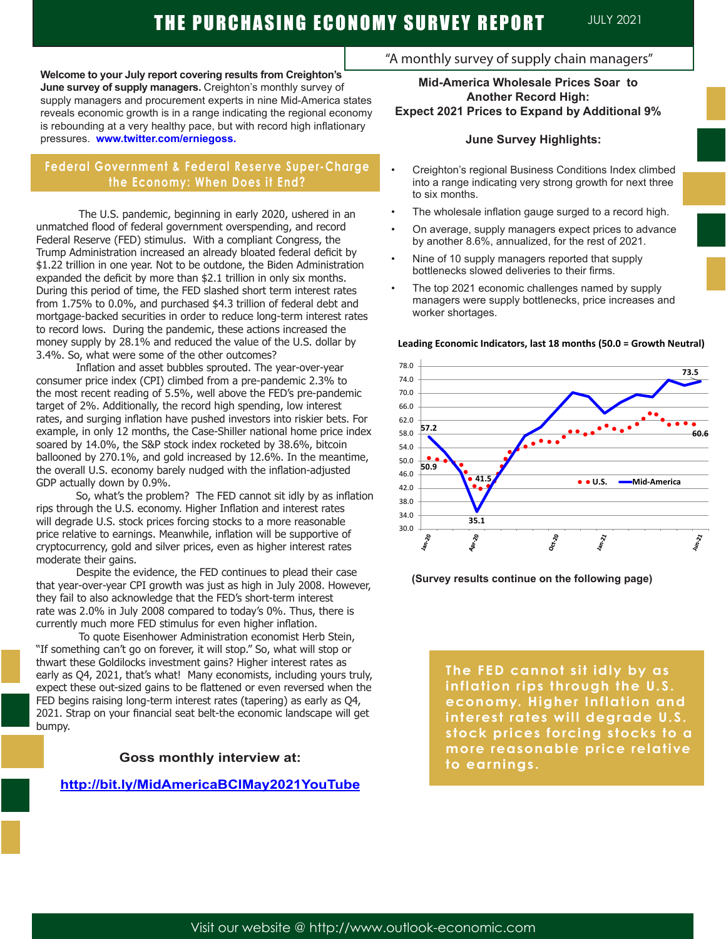**Welcome to your July report covering results from Creighton's June survey of supply managers.** Creighton's monthly survey of supply managers and procurement experts in nine Mid-America states reveals economic growth is in a range indicating the regional economy is rebounding at a very healthy pace, but with record high inflationary pressures. **www.twitter.com/erniegoss.**

### **Federal Government & Federal Reserve Super-Charge the Economy: When Does it End?**

The U.S. pandemic, beginning in early 2020, ushered in an unmatched flood of federal government overspending, and record Federal Reserve (FED) stimulus. With a compliant Congress, the Trump Administration increased an already bloated federal deficit by \$1.22 trillion in one year. Not to be outdone, the Biden Administration expanded the deficit by more than \$2.1 trillion in only six months. During this period of time, the FED slashed short term interest rates from 1.75% to 0.0%, and purchased \$4.3 trillion of federal debt and mortgage-backed securities in order to reduce long-term interest rates to record lows. During the pandemic, these actions increased the money supply by 28.1% and reduced the value of the U.S. dollar by 3.4%. So, what were some of the other outcomes?

 Inflation and asset bubbles sprouted. The year-over-year consumer price index (CPI) climbed from a pre-pandemic 2.3% to the most recent reading of 5.5%, well above the FED's pre-pandemic target of 2%. Additionally, the record high spending, low interest rates, and surging inflation have pushed investors into riskier bets. For example, in only 12 months, the Case-Shiller national home price index soared by 14.0%, the S&P stock index rocketed by 38.6%, bitcoin ballooned by 270.1%, and gold increased by 12.6%. In the meantime, the overall U.S. economy barely nudged with the inflation-adjusted GDP actually down by 0.9%.

 So, what's the problem? The FED cannot sit idly by as inflation rips through the U.S. economy. Higher Inflation and interest rates will degrade U.S. stock prices forcing stocks to a more reasonable price relative to earnings. Meanwhile, inflation will be supportive of cryptocurrency, gold and silver prices, even as higher interest rates moderate their gains.

 Despite the evidence, the FED continues to plead their case that year-over-year CPI growth was just as high in July 2008. However, they fail to also acknowledge that the FED's short-term interest rate was 2.0% in July 2008 compared to today's 0%. Thus, there is currently much more FED stimulus for even higher inflation.

To quote Eisenhower Administration economist Herb Stein, "If something can't go on forever, it will stop." So, what will stop or thwart these Goldilocks investment gains? Higher interest rates as early as Q4, 2021, that's what! Many economists, including yours truly, expect these out-sized gains to be flattened or even reversed when the FED begins raising long-term interest rates (tapering) as early as Q4, 2021. Strap on your financial seat belt-the economic landscape will get bumpy.

# **Coss monthly interview at: discussed in the earnings.** *to earnings.*

#### **http://bit.ly/MidAmericaBCIMay2021YouTube**

# "A monthly survey of supply chain managers"

#### **Mid-America Wholesale Prices Soar to Another Record High: Expect 2021 Prices to Expand by Additional 9%**

#### **June Survey Highlights:**

- Creighton's regional Business Conditions Index climbed into a range indicating very strong growth for next three to six months.
- The wholesale inflation gauge surged to a record high.
- On average, supply managers expect prices to advance by another 8.6%, annualized, for the rest of 2021.
- Nine of 10 supply managers reported that supply bottlenecks slowed deliveries to their firms.
- The top 2021 economic challenges named by supply managers were supply bottlenecks, price increases and worker shortages.



**(Survey results continue on the following page)**

**The FED cannot sit idly by as inflation rips through the U.S. economy. Higher Inflation and interest rates will degrade U.S. stock prices forcing stocks to a more reasonable price relative**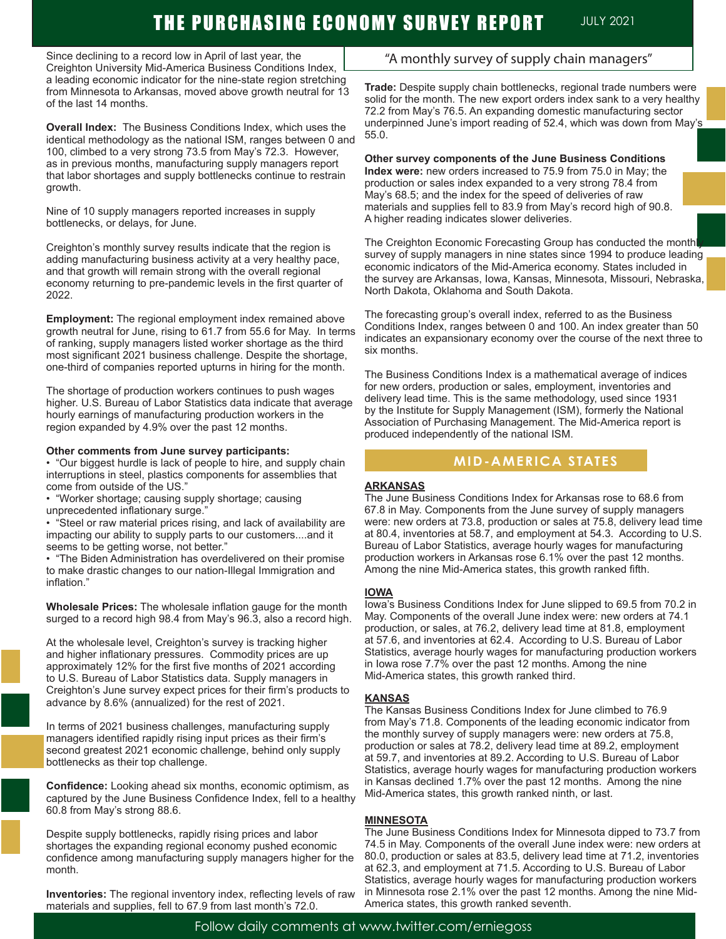# **THE PURCHASING ECONOMY SURVEY REPORT JULY 2021**

Since declining to a record low in April of last year, the Creighton University Mid-America Business Conditions Index, a leading economic indicator for the nine-state region stretching from Minnesota to Arkansas, moved above growth neutral for 13 of the last 14 months.

**Overall Index:** The Business Conditions Index, which uses the identical methodology as the national ISM, ranges between 0 and 100, climbed to a very strong 73.5 from May's 72.3. However, as in previous months, manufacturing supply managers report that labor shortages and supply bottlenecks continue to restrain growth.

Nine of 10 supply managers reported increases in supply bottlenecks, or delays, for June.

Creighton's monthly survey results indicate that the region is adding manufacturing business activity at a very healthy pace, and that growth will remain strong with the overall regional economy returning to pre-pandemic levels in the first quarter of 2022.

**Employment:** The regional employment index remained above growth neutral for June, rising to 61.7 from 55.6 for May. In terms of ranking, supply managers listed worker shortage as the third most significant 2021 business challenge. Despite the shortage, one-third of companies reported upturns in hiring for the month.

The shortage of production workers continues to push wages higher. U.S. Bureau of Labor Statistics data indicate that average hourly earnings of manufacturing production workers in the region expanded by 4.9% over the past 12 months.

#### **Other comments from June survey participants:**

• "Our biggest hurdle is lack of people to hire, and supply chain interruptions in steel, plastics components for assemblies that come from outside of the US."

• "Worker shortage; causing supply shortage; causing unprecedented inflationary surge."

• "Steel or raw material prices rising, and lack of availability are impacting our ability to supply parts to our customers....and it seems to be getting worse, not better."

• "The Biden Administration has overdelivered on their promise to make drastic changes to our nation-Illegal Immigration and inflation."

**Wholesale Prices:** The wholesale inflation gauge for the month surged to a record high 98.4 from May's 96.3, also a record high.

At the wholesale level, Creighton's survey is tracking higher and higher inflationary pressures. Commodity prices are up approximately 12% for the first five months of 2021 according to U.S. Bureau of Labor Statistics data. Supply managers in Creighton's June survey expect prices for their firm's products to advance by 8.6% (annualized) for the rest of 2021.

In terms of 2021 business challenges, manufacturing supply managers identified rapidly rising input prices as their firm's second greatest 2021 economic challenge, behind only supply bottlenecks as their top challenge.

**Confidence:** Looking ahead six months, economic optimism, as captured by the June Business Confidence Index, fell to a healthy 60.8 from May's strong 88.6.

Despite supply bottlenecks, rapidly rising prices and labor shortages the expanding regional economy pushed economic confidence among manufacturing supply managers higher for the month.

**Inventories:** The regional inventory index, reflecting levels of raw materials and supplies, fell to 67.9 from last month's 72.0.

# "A monthly survey of supply chain managers"

**Trade:** Despite supply chain bottlenecks, regional trade numbers were solid for the month. The new export orders index sank to a very healthy 72.2 from May's 76.5. An expanding domestic manufacturing sector underpinned June's import reading of 52.4, which was down from May'<u>s</u> 55.0.

**Other survey components of the June Business Conditions Index were:** new orders increased to 75.9 from 75.0 in May; the production or sales index expanded to a very strong 78.4 from May's 68.5; and the index for the speed of deliveries of raw materials and supplies fell to 83.9 from May's record high of 90.8. A higher reading indicates slower deliveries.

The Creighton Economic Forecasting Group has conducted the month survey of supply managers in nine states since 1994 to produce leading economic indicators of the Mid-America economy. States included in the survey are Arkansas, Iowa, Kansas, Minnesota, Missouri, Nebraska, North Dakota, Oklahoma and South Dakota.

The forecasting group's overall index, referred to as the Business Conditions Index, ranges between 0 and 100. An index greater than 50 indicates an expansionary economy over the course of the next three to six months.

The Business Conditions Index is a mathematical average of indices for new orders, production or sales, employment, inventories and delivery lead time. This is the same methodology, used since 1931 by the Institute for Supply Management (ISM), formerly the National Association of Purchasing Management. The Mid-America report is produced independently of the national ISM.

# **MID-AMERICA STATES**

#### **ARKANSAS**

The June Business Conditions Index for Arkansas rose to 68.6 from 67.8 in May. Components from the June survey of supply managers were: new orders at 73.8, production or sales at 75.8, delivery lead time at 80.4, inventories at 58.7, and employment at 54.3. According to U.S. Bureau of Labor Statistics, average hourly wages for manufacturing production workers in Arkansas rose 6.1% over the past 12 months. Among the nine Mid-America states, this growth ranked fifth.

#### **IOWA**

Iowa's Business Conditions Index for June slipped to 69.5 from 70.2 in May. Components of the overall June index were: new orders at 74.1 production, or sales, at 76.2, delivery lead time at 81.8, employment at 57.6, and inventories at 62.4. According to U.S. Bureau of Labor Statistics, average hourly wages for manufacturing production workers in Iowa rose 7.7% over the past 12 months. Among the nine Mid-America states, this growth ranked third.

#### **KANSAS**

The Kansas Business Conditions Index for June climbed to 76.9 from May's 71.8. Components of the leading economic indicator from the monthly survey of supply managers were: new orders at 75.8, production or sales at 78.2, delivery lead time at 89.2, employment at 59.7, and inventories at 89.2. According to U.S. Bureau of Labor Statistics, average hourly wages for manufacturing production workers in Kansas declined 1.7% over the past 12 months. Among the nine Mid-America states, this growth ranked ninth, or last.

# **MINNESOTA**

The June Business Conditions Index for Minnesota dipped to 73.7 from 74.5 in May. Components of the overall June index were: new orders at 80.0, production or sales at 83.5, delivery lead time at 71.2, inventories at 62.3, and employment at 71.5. According to U.S. Bureau of Labor Statistics, average hourly wages for manufacturing production workers in Minnesota rose 2.1% over the past 12 months. Among the nine Mid-America states, this growth ranked seventh.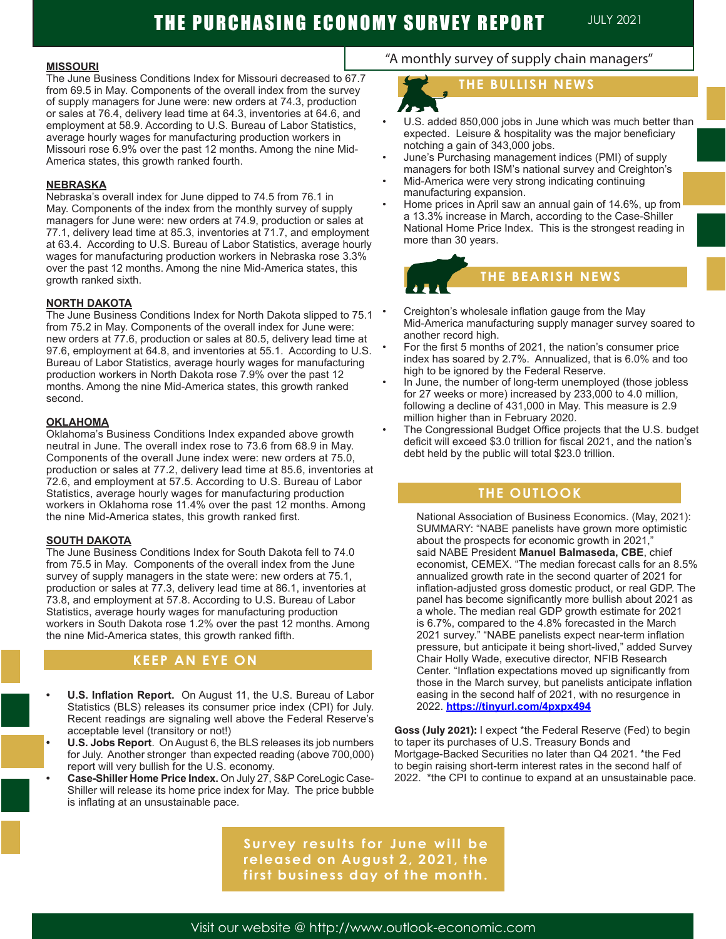#### **MISSOURI**

The June Business Conditions Index for Missouri decreased to 67.7 from 69.5 in May. Components of the overall index from the survey of supply managers for June were: new orders at 74.3, production or sales at 76.4, delivery lead time at 64.3, inventories at 64.6, and employment at 58.9. According to U.S. Bureau of Labor Statistics, average hourly wages for manufacturing production workers in Missouri rose 6.9% over the past 12 months. Among the nine Mid-America states, this growth ranked fourth.

#### **NEBRASKA**

Nebraska's overall index for June dipped to 74.5 from 76.1 in May. Components of the index from the monthly survey of supply managers for June were: new orders at 74.9, production or sales at 77.1, delivery lead time at 85.3, inventories at 71.7, and employment at 63.4. According to U.S. Bureau of Labor Statistics, average hourly wages for manufacturing production workers in Nebraska rose 3.3% over the past 12 months. Among the nine Mid-America states, this growth ranked sixth.

#### **NORTH DAKOTA**

The June Business Conditions Index for North Dakota slipped to 75.1 from 75.2 in May. Components of the overall index for June were: new orders at 77.6, production or sales at 80.5, delivery lead time at 97.6, employment at 64.8, and inventories at 55.1. According to U.S. Bureau of Labor Statistics, average hourly wages for manufacturing production workers in North Dakota rose 7.9% over the past 12 months. Among the nine Mid-America states, this growth ranked second.

#### **OKLAHOMA**

Oklahoma's Business Conditions Index expanded above growth neutral in June. The overall index rose to 73.6 from 68.9 in May. Components of the overall June index were: new orders at 75.0, production or sales at 77.2, delivery lead time at 85.6, inventories at 72.6, and employment at 57.5. According to U.S. Bureau of Labor Statistics, average hourly wages for manufacturing production workers in Oklahoma rose 11.4% over the past 12 months. Among the nine Mid-America states, this growth ranked first.

#### **SOUTH DAKOTA**

Ĩ

The June Business Conditions Index for South Dakota fell to 74.0 from 75.5 in May. Components of the overall index from the June survey of supply managers in the state were: new orders at 75.1, production or sales at 77.3, delivery lead time at 86.1, inventories at 73.8, and employment at 57.8. According to U.S. Bureau of Labor Statistics, average hourly wages for manufacturing production workers in South Dakota rose 1.2% over the past 12 months. Among the nine Mid-America states, this growth ranked fifth.

#### **KEEP AN EYE ON**

- **• U.S. Inflation Report.** On August 11, the U.S. Bureau of Labor Statistics (BLS) releases its consumer price index (CPI) for July. Recent readings are signaling well above the Federal Reserve's acceptable level (transitory or not!)
- **• U.S. Jobs Report**. On August 6, the BLS releases its job numbers for July. Another stronger than expected reading (above 700,000) report will very bullish for the U.S. economy.
- **• Case-Shiller Home Price Index.** On July 27, S&P CoreLogic Case-Shiller will release its home price index for May. The price bubble is inflating at an unsustainable pace.

# "A monthly survey of supply chain managers"

#### **THE BEARING STREET IN STREET IN THE BULLISH NEWS**

ATC**H**

- U.S. added 850,000 jobs in June which was much better than expected. Leisure & hospitality was the major beneficiary notching a gain of 343,000 jobs.
- June's Purchasing management indices (PMI) of supply managers for both ISM's national survey and Creighton's
- Mid-America were very strong indicating continuing manufacturing expansion.
- Home prices in April saw an annual gain of 14.6%, up from a 13.3% increase in March, according to the Case-Shiller National Home Price Index. This is the strongest reading in more than 30 years.



- Creighton's wholesale inflation gauge from the May Mid-America manufacturing supply manager survey soared to another record high.
- For the first 5 months of 2021, the nation's consumer price index has soared by 2.7%. Annualized, that is 6.0% and too high to be ignored by the Federal Reserve.
- In June, the number of long-term unemployed (those jobless for 27 weeks or more) increased by 233,000 to 4.0 million, following a decline of 431,000 in May. This measure is 2.9 million higher than in February 2020.
- The Congressional Budget Office projects that the U.S. budget deficit will exceed \$3.0 trillion for fiscal 2021, and the nation's debt held by the public will total \$23.0 trillion.

#### **THE OUTLOOK**

National Association of Business Economics. (May, 2021): SUMMARY: "NABE panelists have grown more optimistic about the prospects for economic growth in 2021, said NABE President **Manuel Balmaseda, CBE**, chief economist, CEMEX. "The median forecast calls for an 8.5% annualized growth rate in the second quarter of 2021 for inflation-adjusted gross domestic product, or real GDP. The panel has become significantly more bullish about 2021 as a whole. The median real GDP growth estimate for 2021 is 6.7%, compared to the 4.8% forecasted in the March 2021 survey." "NABE panelists expect near-term inflation pressure, but anticipate it being short-lived," added Survey Chair Holly Wade, executive director, NFIB Research Center. "Inflation expectations moved up significantly from those in the March survey, but panelists anticipate inflation easing in the second half of 2021, with no resurgence in 2022. **https://tinyurl.com/4pxpx494**

**Goss (July 2021):** I expect \*the Federal Reserve (Fed) to begin to taper its purchases of U.S. Treasury Bonds and Mortgage-Backed Securities no later than Q4 2021. \*the Fed to begin raising short-term interest rates in the second half of 2022. \*the CPI to continue to expand at an unsustainable pace.

**Sur vey results for June will be released on August 2, 2021, the first business day of the month.**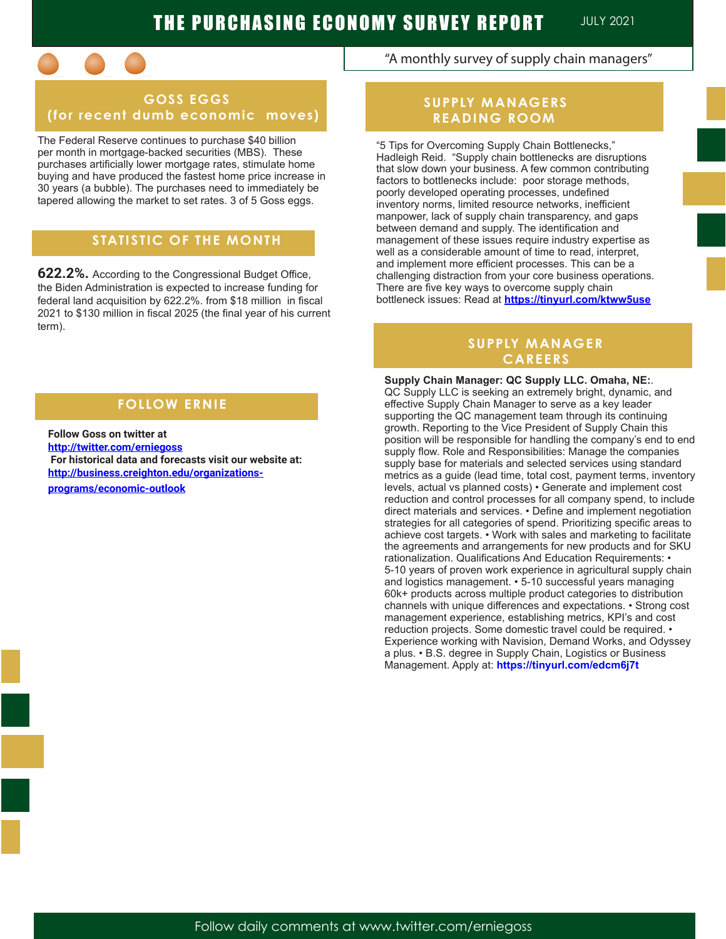

# **GOSS EGGS (for recent dumb economic moves)**

The Federal Reserve continues to purchase \$40 billion per month in mortgage-backed securities (MBS). These purchases artificially lower mortgage rates, stimulate home buying and have produced the fastest home price increase in 30 years (a bubble). The purchases need to immediately be tapered allowing the market to set rates. 3 of 5 Goss eggs.

# **STATISTIC OF THE MONTH**

**622.2%.** According to the Congressional Budget Office, the Biden Administration is expected to increase funding for federal land acquisition by 622.2%. from \$18 million in fiscal 2021 to \$130 million in fiscal 2025 (the final year of his current term).

# **FOLLOW ERNIE**

**Follow Goss on twitter at http://twitter.com/erniegoss For historical data and forecasts visit our website at: http://business.creighton.edu/organizations**programs/economic-outlook

### "A monthly survey of supply chain managers"

#### **SUPPLY MANAGERS READING ROOM**

"5 Tips for Overcoming Supply Chain Bottlenecks," Hadleigh Reid. "Supply chain bottlenecks are disruptions that slow down your business. A few common contributing factors to bottlenecks include: poor storage methods, poorly developed operating processes, undefined inventory norms, limited resource networks, inefficient manpower, lack of supply chain transparency, and gaps between demand and supply. The identification and management of these issues require industry expertise as well as a considerable amount of time to read, interpret, and implement more efficient processes. This can be a challenging distraction from your core business operations. There are five key ways to overcome supply chain bottleneck issues: Read at **https://tinyurl.com/ktww5use**

### **SUPPLY MANAGER CAREERS**

**Supply Chain Manager: QC Supply LLC. Omaha, NE:**. QC Supply LLC is seeking an extremely bright, dynamic, and effective Supply Chain Manager to serve as a key leader supporting the QC management team through its continuing growth. Reporting to the Vice President of Supply Chain this position will be responsible for handling the company's end to end supply flow. Role and Responsibilities: Manage the companies supply base for materials and selected services using standard metrics as a guide (lead time, total cost, payment terms, inventory levels, actual vs planned costs) • Generate and implement cost reduction and control processes for all company spend, to include direct materials and services. • Define and implement negotiation strategies for all categories of spend. Prioritizing specific areas to achieve cost targets. • Work with sales and marketing to facilitate the agreements and arrangements for new products and for SKU rationalization. Qualifications And Education Requirements: • 5-10 years of proven work experience in agricultural supply chain and logistics management. • 5-10 successful years managing 60k+ products across multiple product categories to distribution channels with unique differences and expectations. • Strong cost management experience, establishing metrics, KPI's and cost reduction projects. Some domestic travel could be required. • Experience working with Navision, Demand Works, and Odyssey a plus. • B.S. degree in Supply Chain, Logistics or Business Management. Apply at: **https://tinyurl.com/edcm6j7t**